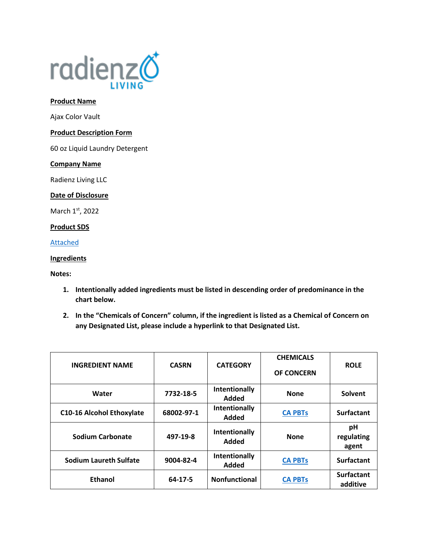

#### **Product Name**

Ajax Color Vault

# **Product Description Form**

60 oz Liquid Laundry Detergent

#### **Company Name**

Radienz Living LLC

# **Date of Disclosure**

March 1st, 2022

# **Product SDS**

[Attached](file://///srvfs02/home/mloesch/Files/Home%20Care/AJAX-2020/SDS/Color%20vault.pdf)

# **Ingredients**

**Notes:** 

- **1. Intentionally added ingredients must be listed in descending order of predominance in the chart below.**
- **2. In the "Chemicals of Concern" column, if the ingredient is listed as a Chemical of Concern on any Designated List, please include a hyperlink to that Designated List.**

| <b>INGREDIENT NAME</b>           | <b>CASRN</b> | <b>CATEGORY</b>        | <b>CHEMICALS</b><br><b>OF CONCERN</b> | <b>ROLE</b>                   |
|----------------------------------|--------------|------------------------|---------------------------------------|-------------------------------|
| Water                            | 7732-18-5    | Intentionally<br>Added | <b>None</b>                           | Solvent                       |
| <b>C10-16 Alcohol Ethoxylate</b> | 68002-97-1   | Intentionally<br>Added | <b>CA PBTs</b>                        | <b>Surfactant</b>             |
| Sodium Carbonate                 | 497-19-8     | Intentionally<br>Added | <b>None</b>                           | pH<br>regulating<br>agent     |
| <b>Sodium Laureth Sulfate</b>    | 9004-82-4    | Intentionally<br>Added | <b>CA PBTs</b>                        | <b>Surfactant</b>             |
| <b>Ethanol</b>                   | 64-17-5      | <b>Nonfunctional</b>   | <b>CA PBTs</b>                        | <b>Surfactant</b><br>additive |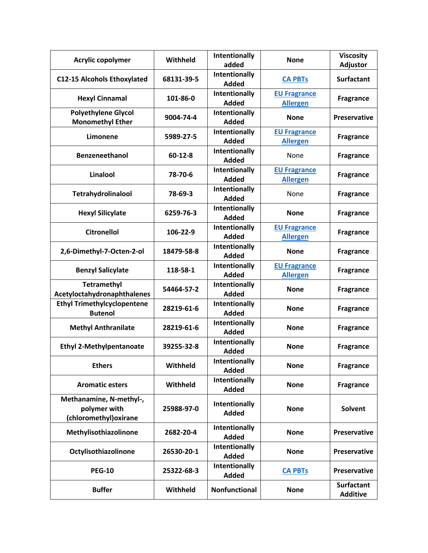| Acrylic copolymer                                                 | Withheld   | Intentionally<br>added               | <b>None</b>                            | <b>Viscosity</b><br>Adjustor         |
|-------------------------------------------------------------------|------------|--------------------------------------|----------------------------------------|--------------------------------------|
| <b>C12-15 Alcohols Ethoxylated</b>                                | 68131-39-5 | Intentionally<br><b>Added</b>        | <b>CA PBTs</b>                         | <b>Surfactant</b>                    |
| <b>Hexyl Cinnamal</b>                                             | 101-86-0   | Intentionally<br><b>Added</b>        | <b>EU Fragrance</b><br><b>Allergen</b> | <b>Fragrance</b>                     |
| <b>Polyethylene Glycol</b><br><b>Monomethyl Ether</b>             | 9004-74-4  | <b>Intentionally</b><br><b>Added</b> | <b>None</b>                            | <b>Preservative</b>                  |
| Limonene                                                          | 5989-27-5  | Intentionally<br>Added               | <b>EU Fragrance</b><br><b>Allergen</b> | <b>Fragrance</b>                     |
| <b>Benzeneethanol</b>                                             | $60-12-8$  | Intentionally<br><b>Added</b>        | None                                   | <b>Fragrance</b>                     |
| Linalool                                                          | 78-70-6    | <b>Intentionally</b><br><b>Added</b> | <b>EU Fragrance</b><br><b>Allergen</b> | <b>Fragrance</b>                     |
| Tetrahydrolinalool                                                | 78-69-3    | <b>Intentionally</b><br><b>Added</b> | None                                   | <b>Fragrance</b>                     |
| <b>Hexyl Silicylate</b>                                           | 6259-76-3  | Intentionally<br><b>Added</b>        | <b>None</b>                            | <b>Fragrance</b>                     |
| <b>Citronellol</b>                                                | 106-22-9   | Intentionally<br><b>Added</b>        | <b>EU Fragrance</b><br><b>Allergen</b> | <b>Fragrance</b>                     |
| 2,6-Dimethyl-7-Octen-2-ol                                         | 18479-58-8 | <b>Intentionally</b><br><b>Added</b> | <b>None</b>                            | <b>Fragrance</b>                     |
| <b>Benzyl Salicylate</b>                                          | 118-58-1   | Intentionally<br><b>Added</b>        | <b>EU Fragrance</b><br><b>Allergen</b> | <b>Fragrance</b>                     |
| <b>Tetramethyl</b><br>Acetyloctahydronaphthalenes                 | 54464-57-2 | Intentionally<br><b>Added</b>        | <b>None</b>                            | <b>Fragrance</b>                     |
| <b>Ethyl Trimethylcyclopentene</b><br><b>Butenol</b>              | 28219-61-6 | Intentionally<br><b>Added</b>        | <b>None</b>                            | <b>Fragrance</b>                     |
| <b>Methyl Anthranilate</b>                                        | 28219-61-6 | Intentionally<br><b>Added</b>        | <b>None</b>                            | <b>Fragrance</b>                     |
| <b>Ethyl 2-Methylpentanoate</b>                                   | 39255-32-8 | Intentionally<br><b>Added</b>        | <b>None</b>                            | <b>Fragrance</b>                     |
| <b>Ethers</b>                                                     | Withheld   | Intentionally<br><b>Added</b>        | <b>None</b>                            | <b>Fragrance</b>                     |
| <b>Aromatic esters</b>                                            | Withheld   | Intentionally<br><b>Added</b>        | <b>None</b>                            | <b>Fragrance</b>                     |
| Methanamine, N-methyl-,<br>polymer with<br>(chloromethyl) oxirane | 25988-97-0 | Intentionally<br><b>Added</b>        | <b>None</b>                            | Solvent                              |
| Methylisothiazolinone                                             | 2682-20-4  | Intentionally<br><b>Added</b>        | <b>None</b>                            | <b>Preservative</b>                  |
| Octylisothiazolinone                                              | 26530-20-1 | Intentionally<br><b>Added</b>        | <b>None</b>                            | <b>Preservative</b>                  |
| <b>PEG-10</b>                                                     | 25322-68-3 | Intentionally<br><b>Added</b>        | <b>CA PBTs</b>                         | <b>Preservative</b>                  |
| <b>Buffer</b>                                                     | Withheld   | Nonfunctional                        | <b>None</b>                            | <b>Surfactant</b><br><b>Additive</b> |